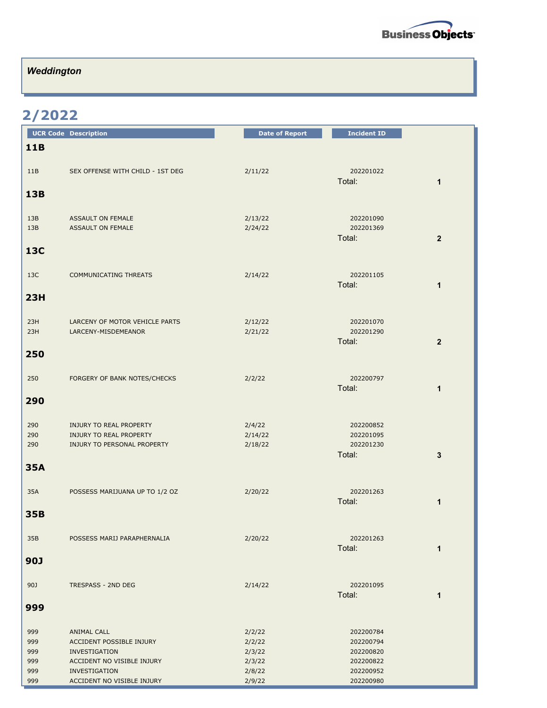

## *Weddington*

## **2/2022**

|            | <b>UCR Code Description</b>                            | <b>Date of Report</b> | <b>Incident ID</b>       |  |
|------------|--------------------------------------------------------|-----------------------|--------------------------|--|
| <b>11B</b> |                                                        |                       |                          |  |
|            |                                                        |                       |                          |  |
| 11B        | SEX OFFENSE WITH CHILD - 1ST DEG                       | 2/11/22               | 202201022                |  |
|            |                                                        |                       | Total:<br>1              |  |
| 13B        |                                                        |                       |                          |  |
|            |                                                        |                       |                          |  |
| 13B<br>13B | ASSAULT ON FEMALE<br>ASSAULT ON FEMALE                 | 2/13/22<br>2/24/22    | 202201090<br>202201369   |  |
|            |                                                        |                       | Total:<br>$\overline{2}$ |  |
| <b>13C</b> |                                                        |                       |                          |  |
|            |                                                        |                       |                          |  |
| 13C        | <b>COMMUNICATING THREATS</b>                           | 2/14/22               | 202201105                |  |
|            |                                                        |                       | Total:<br>1              |  |
| 23H        |                                                        |                       |                          |  |
|            |                                                        |                       |                          |  |
| 23H        | LARCENY OF MOTOR VEHICLE PARTS                         | 2/12/22               | 202201070                |  |
| 23H        | LARCENY-MISDEMEANOR                                    | 2/21/22               | 202201290                |  |
|            |                                                        |                       | Total:<br>$\overline{2}$ |  |
| 250        |                                                        |                       |                          |  |
|            |                                                        |                       |                          |  |
| 250        | FORGERY OF BANK NOTES/CHECKS                           | 2/2/22                | 202200797                |  |
|            |                                                        |                       | Total:<br>$\mathbf{1}$   |  |
| 290        |                                                        |                       |                          |  |
|            |                                                        |                       |                          |  |
| 290        | INJURY TO REAL PROPERTY                                | 2/4/22                | 202200852                |  |
| 290<br>290 | INJURY TO REAL PROPERTY<br>INJURY TO PERSONAL PROPERTY | 2/14/22<br>2/18/22    | 202201095<br>202201230   |  |
|            |                                                        |                       | Total:<br>3              |  |
| <b>35A</b> |                                                        |                       |                          |  |
|            |                                                        |                       |                          |  |
| 35A        | POSSESS MARIJUANA UP TO 1/2 OZ                         | 2/20/22               | 202201263                |  |
|            |                                                        |                       | Total:<br>1              |  |
| <b>35B</b> |                                                        |                       |                          |  |
|            |                                                        |                       |                          |  |
| 35B        | POSSESS MARIJ PARAPHERNALIA                            | 2/20/22               | 202201263                |  |
|            |                                                        |                       | Total:<br>$\mathbf 1$    |  |
| <b>90J</b> |                                                        |                       |                          |  |
|            |                                                        |                       |                          |  |
| 90J        | TRESPASS - 2ND DEG                                     | 2/14/22               | 202201095                |  |
|            |                                                        |                       | Total:<br>1              |  |
| 999        |                                                        |                       |                          |  |
|            |                                                        |                       |                          |  |
| 999        | ANIMAL CALL                                            | 2/2/22                | 202200784                |  |
| 999        | ACCIDENT POSSIBLE INJURY                               | 2/2/22                | 202200794                |  |
| 999        | INVESTIGATION                                          | 2/3/22                | 202200820                |  |
| 999<br>999 | ACCIDENT NO VISIBLE INJURY<br>INVESTIGATION            | 2/3/22<br>2/8/22      | 202200822<br>202200952   |  |
| 999        | ACCIDENT NO VISIBLE INJURY                             | 2/9/22                | 202200980                |  |